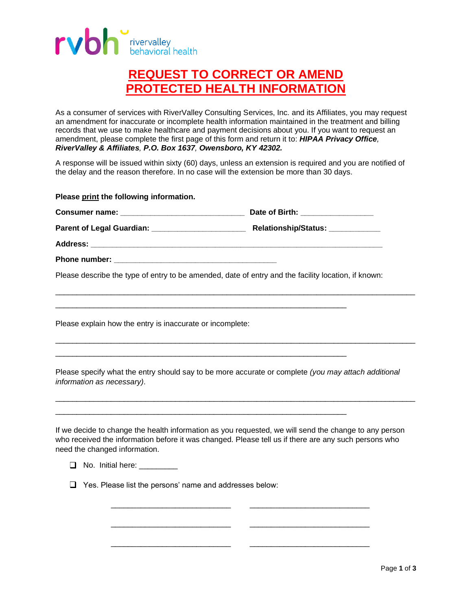

## **REQUEST TO CORRECT OR AMEND PROTECTED HEALTH INFORMATION**

As a consumer of services with RiverValley Consulting Services, Inc. and its Affiliates, you may request an amendment for inaccurate or incomplete health information maintained in the treatment and billing records that we use to make healthcare and payment decisions about you. If you want to request an amendment, please complete the first page of this form and return it to: *HIPAA Privacy Office, RiverValley & Affiliates, P.O. Box 1637, Owensboro, KY 42302.*

A response will be issued within sixty (60) days, unless an extension is required and you are notified of the delay and the reason therefore. In no case will the extension be more than 30 days.

| Please print the following information.                                                             |                                                                                                                                                                                                               |
|-----------------------------------------------------------------------------------------------------|---------------------------------------------------------------------------------------------------------------------------------------------------------------------------------------------------------------|
| Consumer name: __________________________________ Date of Birth: _______________                    |                                                                                                                                                                                                               |
|                                                                                                     |                                                                                                                                                                                                               |
|                                                                                                     |                                                                                                                                                                                                               |
|                                                                                                     |                                                                                                                                                                                                               |
| Please describe the type of entry to be amended, date of entry and the facility location, if known: |                                                                                                                                                                                                               |
| Please explain how the entry is inaccurate or incomplete:                                           |                                                                                                                                                                                                               |
| information as necessary).                                                                          | Please specify what the entry should say to be more accurate or complete (you may attach additional                                                                                                           |
| need the changed information.                                                                       | If we decide to change the health information as you requested, we will send the change to any person<br>who received the information before it was changed. Please tell us if there are any such persons who |

\_\_\_\_\_\_\_\_\_\_\_\_\_\_\_\_\_\_\_\_\_\_\_\_\_\_\_\_ \_\_\_\_\_\_\_\_\_\_\_\_\_\_\_\_\_\_\_\_\_\_\_\_\_\_\_\_

\_\_\_\_\_\_\_\_\_\_\_\_\_\_\_\_\_\_\_\_\_\_\_\_\_\_\_\_ \_\_\_\_\_\_\_\_\_\_\_\_\_\_\_\_\_\_\_\_\_\_\_\_\_\_\_\_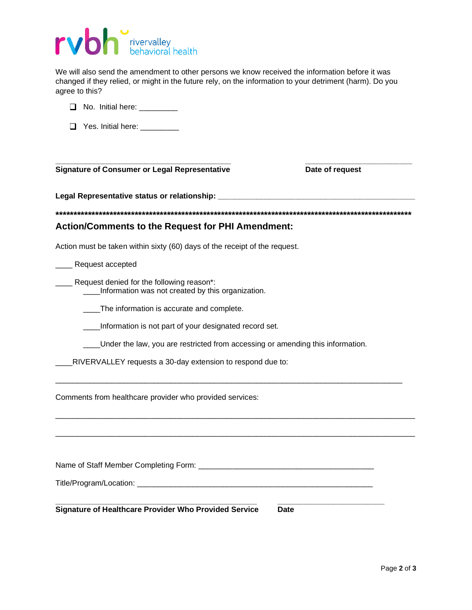

We will also send the amendment to other persons we know received the information before it was changed if they relied, or might in the future rely, on the information to your detriment (harm). Do you agree to this?

- $\Box$  No. Initial here:
- **T** Yes. Initial here: \_\_\_\_\_\_\_\_

**\_\_\_\_\_\_\_\_\_\_\_\_\_\_\_\_\_\_\_\_\_\_\_\_\_\_\_\_\_\_\_\_\_\_\_\_\_\_\_\_\_ \_\_\_\_\_\_\_\_\_\_\_\_\_\_\_\_\_\_\_\_\_\_\_\_\_ Signature of Consumer or Legal Representative <b>Date of request** 

**Legal Representative status or relationship: \_\_\_\_\_\_\_\_\_\_\_\_\_\_\_\_\_\_\_\_\_\_\_\_\_\_\_\_\_\_\_\_\_\_\_\_\_\_\_\_\_\_\_\_\_\_**

**\*\*\*\*\*\*\*\*\*\*\*\*\*\*\*\*\*\*\*\*\*\*\*\*\*\*\*\*\*\*\*\*\*\*\*\*\*\*\*\*\*\*\*\*\*\*\*\*\*\*\*\*\*\*\*\*\*\*\*\*\*\*\*\*\*\*\*\*\*\*\*\*\*\*\*\*\*\*\*\*\*\*\*\*\*\*\*\*\*\*\*\*\*\*\*\*\*\*\***

## **Action/Comments to the Request for PHI Amendment:**

Action must be taken within sixty (60) days of the receipt of the request.

\_\_\_\_ Request accepted

\_\_\_\_ Request denied for the following reason\*: \_\_\_\_Information was not created by this organization.

\_\_\_\_The information is accurate and complete.

\_\_\_\_Information is not part of your designated record set.

\_\_\_\_Under the law, you are restricted from accessing or amending this information.

\_\_\_\_\_\_\_\_\_\_\_\_\_\_\_\_\_\_\_\_\_\_\_\_\_\_\_\_\_\_\_\_\_\_\_\_\_\_\_\_\_\_\_\_\_\_\_\_\_\_\_\_\_\_\_\_\_\_\_\_\_\_\_\_\_\_\_\_\_\_\_\_\_\_\_\_\_\_\_\_\_

\_\_\_\_\_\_\_\_\_\_\_\_\_\_\_\_\_\_\_\_\_\_\_\_\_\_\_\_\_\_\_\_\_\_\_\_\_\_\_\_\_\_\_\_\_\_\_\_\_\_\_\_\_\_\_\_\_\_\_\_\_\_\_\_\_\_\_\_\_\_\_\_\_\_\_\_\_\_\_\_\_\_\_\_

 $\_$  ,  $\_$  ,  $\_$  ,  $\_$  ,  $\_$  ,  $\_$  ,  $\_$  ,  $\_$  ,  $\_$  ,  $\_$  ,  $\_$  ,  $\_$  ,  $\_$  ,  $\_$  ,  $\_$  ,  $\_$  ,  $\_$  ,  $\_$  ,  $\_$  ,  $\_$  ,  $\_$  ,  $\_$  ,  $\_$  ,  $\_$  ,  $\_$  ,  $\_$  ,  $\_$  ,  $\_$  ,  $\_$  ,  $\_$  ,  $\_$  ,  $\_$  ,  $\_$  ,  $\_$  ,  $\_$  ,  $\_$  ,  $\_$  ,

RIVERVALLEY requests a 30-day extension to respond due to:

Comments from healthcare provider who provided services:

Name of Staff Member Completing Form: \_\_\_\_\_\_\_\_\_\_\_\_\_\_\_\_\_\_\_\_\_\_\_\_\_\_\_\_\_\_\_\_\_\_\_\_\_\_\_\_\_

Title/Program/Location: \_\_\_\_\_\_\_\_\_\_\_\_\_\_\_\_\_\_\_\_\_\_\_\_\_\_\_\_\_\_\_\_\_\_\_\_\_\_\_\_\_\_\_\_\_\_\_\_\_\_\_\_\_\_\_

**Signature of Healthcare Provider Who Provided Service Date**

**\_\_\_\_\_\_\_\_\_\_\_\_\_\_\_\_\_\_\_\_\_\_\_\_\_\_\_\_\_\_\_\_\_\_\_\_\_\_\_\_\_\_\_\_\_\_\_ \_\_\_\_\_\_\_\_\_\_\_\_\_\_\_\_\_\_\_\_\_\_\_\_\_**